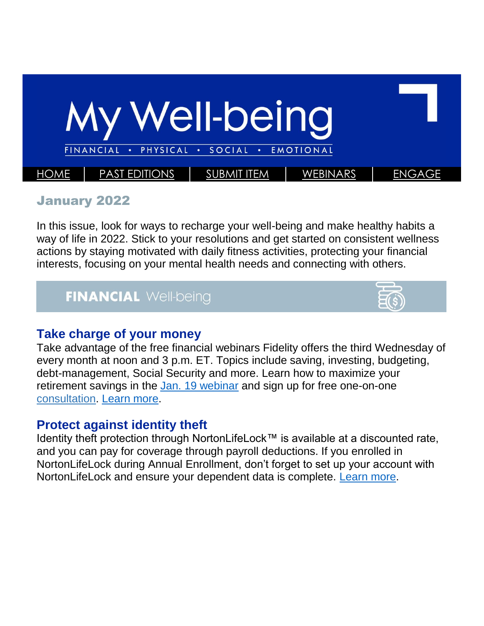

#### January 2022

In this issue, look for ways to recharge your well-being and make healthy habits a way of life in 2022. Stick to your resolutions and get started on consistent wellness actions by staying motivated with daily fitness activities, protecting your financial interests, focusing on your mental health needs and connecting with others.

### **FINANCIAL Well-being**



### **Take charge of your money**

Take advantage of the free financial webinars Fidelity offers the third Wednesday of every month at noon and 3 p.m. ET. Topics include saving, investing, budgeting, debt-management, Social Security and more. Learn how to maximize your retirement savings in the [Jan. 19 webinar](https://login.fidelity.com/ftgw/Fidelity/NBPart/Login/Init?AuthRedUrl=https://workplaceservices.fidelity.com/mybenefits/employerservices/navigation) and sign up for free one-on-one [consultation.](https://login.fidelity.com/ftgw/Fidelity/NBPart/Login/Init?AuthRedUrl=https://workplaceservices.fidelity.com/mybenefits/employerservices/navigation) [Learn more.](https://totalrewards.northropgrumman.com/article/102/take-charge-of-your-money)

### **Protect against identity theft**

Identity theft protection through NortonLifeLock™ is available at a discounted rate, and you can pay for coverage through payroll deductions. If you enrolled in NortonLifeLock during Annual Enrollment, don't forget to set up your account with NortonLifeLock and ensure your dependent data is complete. [Learn more.](https://totalrewards.northropgrumman.com/article/99/protect-against-identity-theft)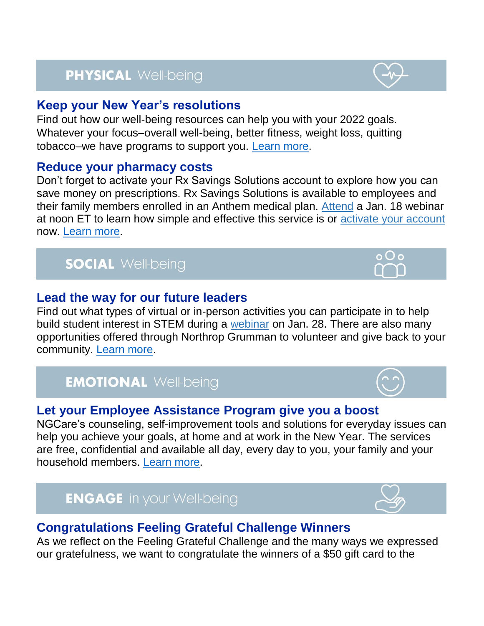# **PHYSICAL Well-being**

### **Keep your New Year's resolutions**

Find out how our well-being resources can help you with your 2022 goals. Whatever your focus–overall well-being, better fitness, weight loss, quitting tobacco–we have programs to support you. [Learn more.](https://totalrewards.northropgrumman.com/article/98/keep-your-new-years-resolutions)

### **Reduce your pharmacy costs**

Don't forget to activate your Rx Savings Solutions account to explore how you can save money on prescriptions. Rx Savings Solutions is available to employees and their family members enrolled in an Anthem medical plan. [Attend](https://register.gotowebinar.com/rt/7413121118681683980) a Jan. 18 webinar at noon ET to learn how simple and effective this service is or [activate your account](https://auth.rxsavingssolutions.com/activate) now. [Learn more.](https://totalrewards.northropgrumman.com/article/100/reduce-your-pharmacy-costs)

## **SOCIAL Well-being**

### **Lead the way for our future leaders**

Find out what types of virtual or in-person activities you can participate in to help build student interest in STEM during a [webinar](https://home-us.myngc.com/ngcorp/CorpResp/CorpCitizenship/Pages/eweek.aspx) on Jan. 28. There are also many opportunities offered through Northrop Grumman to volunteer and give back to your community. [Learn more.](https://totalrewards.northropgrumman.com/article/103/pay-it-forward)

## **EMOTIONAL Well-being**

### **Let your Employee Assistance Program give you a boost**

NGCare's counseling, self-improvement tools and solutions for everyday issues can help you achieve your goals, at home and at work in the New Year. The services are free, confidential and available all day, every day to you, your family and your household members. [Learn more.](https://totalrewards.northropgrumman.com/article/101/mind-your-mental-health)

**ENGAGE** in your Well-being

### **Congratulations Feeling Grateful Challenge Winners**

As we reflect on the Feeling Grateful Challenge and the many ways we expressed our gratefulness, we want to congratulate the winners of a \$50 gift card to the